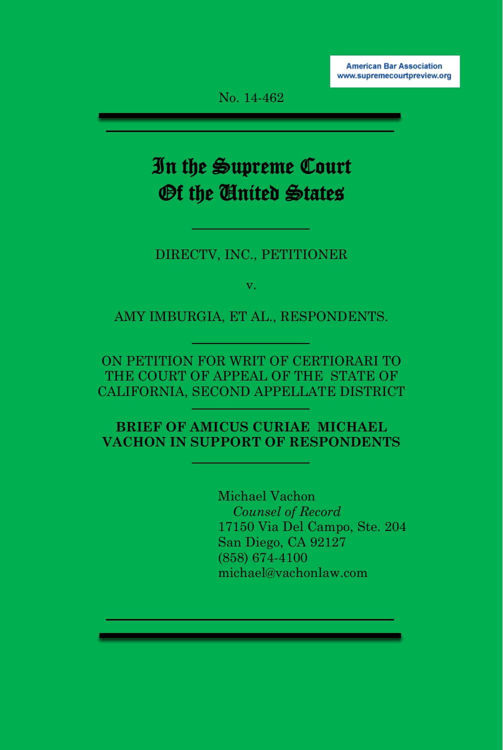No. 14-462

# In the Supreme Court Of the United States

#### DIRECTV, INC., PETITIONER

v.

AMY IMBURGIA, ET AL., RESPONDENTS.

ON PETITION FOR WRIT OF CERTIORARI TO THE COURT OF APPEAL OF THE STATE OF CALIFORNIA, SECOND APPELLATE DISTRICT

**BRIEF OF AMICUS CURIAE MICHAEL VACHON IN SUPPORT OF RESPONDENTS**

> Michael Vachon *Counsel of Record* 17150 Via Del Campo, Ste. 204 San Diego, CA 92127 (858) 674-4100 michael@vachonlaw.com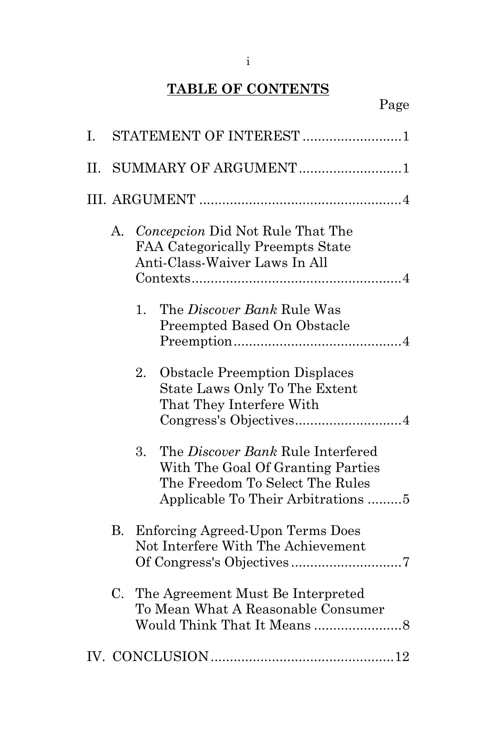# **TABLE OF CONTENTS**

| I. | STATEMENT OF INTEREST 1 |    |                                                                                                                                                 |  |  |
|----|-------------------------|----|-------------------------------------------------------------------------------------------------------------------------------------------------|--|--|
| П. | SUMMARY OF ARGUMENT1    |    |                                                                                                                                                 |  |  |
|    |                         |    |                                                                                                                                                 |  |  |
|    | A.                      |    | Concepcion Did Not Rule That The<br>FAA Categorically Preempts State<br>Anti-Class-Waiver Laws In All                                           |  |  |
|    |                         | 1. | The <i>Discover Bank</i> Rule Was<br>Preempted Based On Obstacle                                                                                |  |  |
|    |                         | 2. | <b>Obstacle Preemption Displaces</b><br>State Laws Only To The Extent<br>That They Interfere With                                               |  |  |
|    |                         | 3. | The Discover Bank Rule Interfered<br>With The Goal Of Granting Parties<br>The Freedom To Select The Rules<br>Applicable To Their Arbitrations 5 |  |  |
|    | В.                      |    | Enforcing Agreed-Upon Terms Does<br>Not Interfere With The Achievement                                                                          |  |  |
|    | C.                      |    | The Agreement Must Be Interpreted<br>To Mean What A Reasonable Consumer                                                                         |  |  |
|    |                         |    |                                                                                                                                                 |  |  |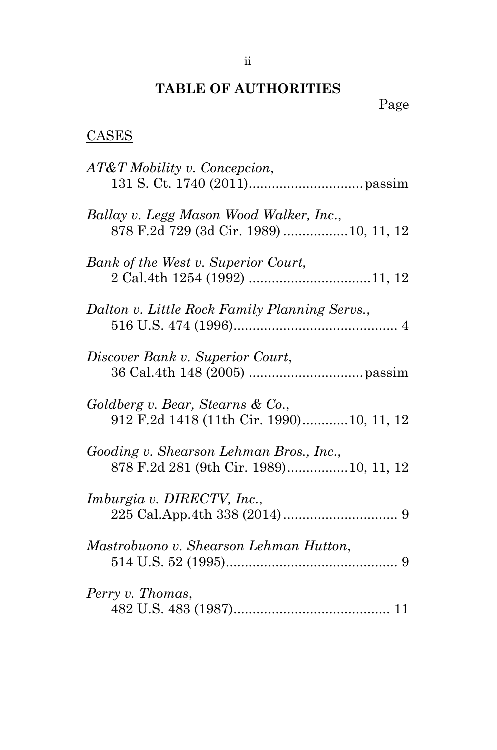# **TABLE OF AUTHORITIES**

Page

## **CASES**

| AT&T Mobility v. Concepcion,                                                       |
|------------------------------------------------------------------------------------|
| Ballay v. Legg Mason Wood Walker, Inc.,<br>878 F.2d 729 (3d Cir. 1989)  10, 11, 12 |
| Bank of the West v. Superior Court,                                                |
| Dalton v. Little Rock Family Planning Servs.,                                      |
| Discover Bank v. Superior Court,                                                   |
| Goldberg v. Bear, Stearns & Co.,<br>912 F.2d 1418 (11th Cir. 1990) 10, 11, 12      |
| Gooding v. Shearson Lehman Bros., Inc.,<br>878 F.2d 281 (9th Cir. 1989) 10, 11, 12 |
| <i>Imburgia v. DIRECTV, Inc.,</i>                                                  |
| Mastrobuono v. Shearson Lehman Hutton,                                             |
| Perry v. Thomas,                                                                   |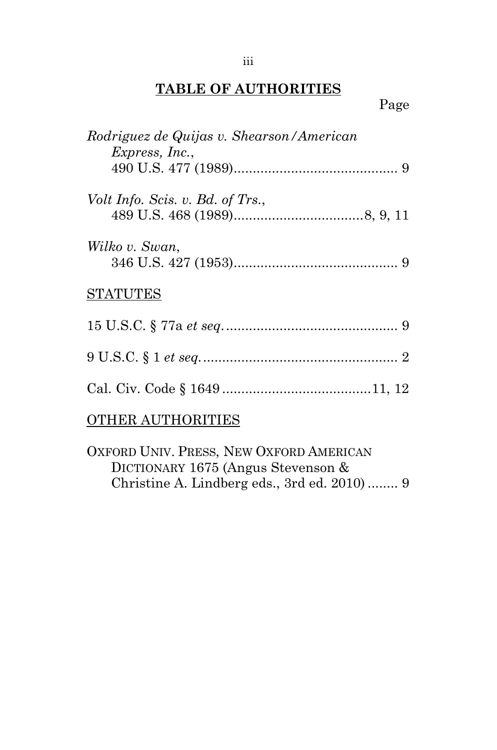## **TABLE OF AUTHORITIES**

Page

| Rodriguez de Quijas v. Shearson/American<br>Express, Inc., |
|------------------------------------------------------------|
|                                                            |
| Volt Info. Scis. v. Bd. of Trs.,                           |
| Wilko v. Swan,                                             |
| <b>STATUTES</b>                                            |
|                                                            |
|                                                            |
|                                                            |
| <b>OTHER AUTHORITIES</b>                                   |

OXFORD UNIV. PRESS, NEW OXFORD AMERICAN DICTIONARY 1675 (Angus Stevenson & Christine A. Lindberg eds., 3rd ed. 2010) ........ 9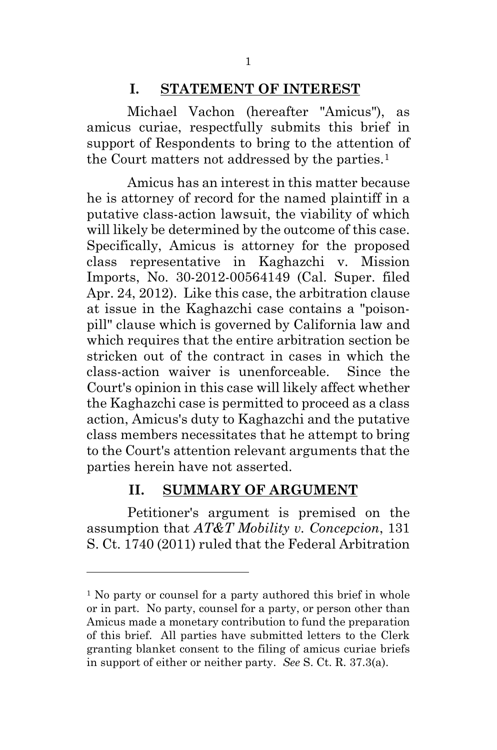## **I. STATEMENT OF INTEREST**

Michael Vachon (hereafter "Amicus"), as amicus curiae, respectfully submits this brief in support of Respondents to bring to the attention of the Court matters not addressed by the parties.<sup>1</sup>

Amicus has an interest in this matter because he is attorney of record for the named plaintiff in a putative class-action lawsuit, the viability of which will likely be determined by the outcome of this case. Specifically, Amicus is attorney for the proposed class representative in Kaghazchi v. Mission Imports, No. 30-2012-00564149 (Cal. Super. filed Apr. 24, 2012). Like this case, the arbitration clause at issue in the Kaghazchi case contains a "poisonpill" clause which is governed by California law and which requires that the entire arbitration section be stricken out of the contract in cases in which the class-action waiver is unenforceable. Since the Court's opinion in this case will likely affect whether the Kaghazchi case is permitted to proceed as a class action, Amicus's duty to Kaghazchi and the putative class members necessitates that he attempt to bring to the Court's attention relevant arguments that the parties herein have not asserted.

#### **II. SUMMARY OF ARGUMENT**

Petitioner's argument is premised on the assumption that *AT&T Mobility v. Concepcion*, 131 S. Ct. 1740 (2011) ruled that the Federal Arbitration

<sup>&</sup>lt;sup>1</sup> No party or counsel for a party authored this brief in whole or in part. No party, counsel for a party, or person other than Amicus made a monetary contribution to fund the preparation of this brief. All parties have submitted letters to the Clerk granting blanket consent to the filing of amicus curiae briefs in support of either or neither party. *See* S. Ct. R. 37.3(a).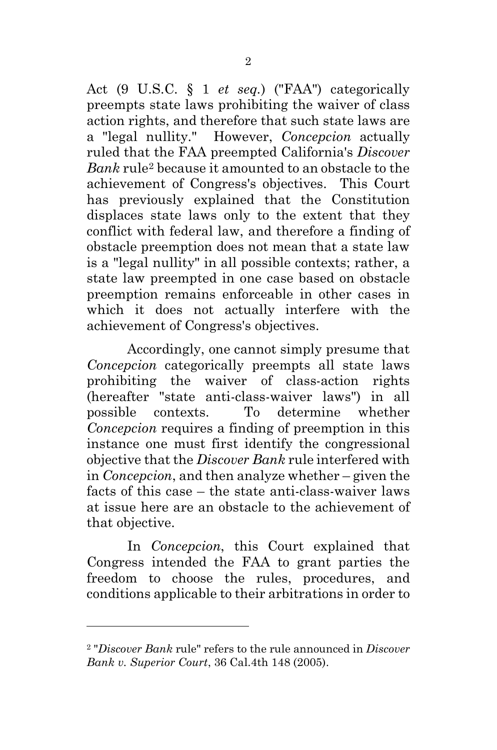Act (9 U.S.C. § 1 *et seq.*) ("FAA") categorically preempts state laws prohibiting the waiver of class action rights, and therefore that such state laws are a "legal nullity." However, *Concepcion* actually ruled that the FAA preempted California's *Discover Bank* rule2 because it amounted to an obstacle to the achievement of Congress's objectives. This Court has previously explained that the Constitution displaces state laws only to the extent that they conflict with federal law, and therefore a finding of obstacle preemption does not mean that a state law is a "legal nullity" in all possible contexts; rather, a state law preempted in one case based on obstacle preemption remains enforceable in other cases in which it does not actually interfere with the achievement of Congress's objectives.

Accordingly, one cannot simply presume that *Concepcion* categorically preempts all state laws prohibiting the waiver of class-action rights (hereafter "state anti-class-waiver laws") in all possible contexts. To determine whether *Concepcion* requires a finding of preemption in this instance one must first identify the congressional objective that the *Discover Bank* rule interfered with in *Concepcion*, and then analyze whether – given the facts of this case – the state anti-class-waiver laws at issue here are an obstacle to the achievement of that objective.

In *Concepcion*, this Court explained that Congress intended the FAA to grant parties the freedom to choose the rules, procedures, and conditions applicable to their arbitrations in order to

<sup>2 &</sup>quot;*Discover Bank* rule" refers to the rule announced in *Discover Bank v. Superior Court*, 36 Cal.4th 148 (2005).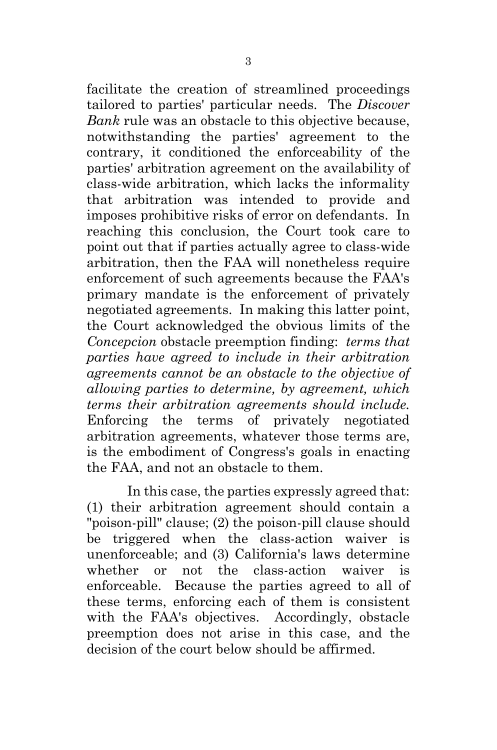facilitate the creation of streamlined proceedings tailored to parties' particular needs. The *Discover Bank* rule was an obstacle to this objective because, notwithstanding the parties' agreement to the contrary, it conditioned the enforceability of the parties' arbitration agreement on the availability of class-wide arbitration, which lacks the informality that arbitration was intended to provide and imposes prohibitive risks of error on defendants. In reaching this conclusion, the Court took care to point out that if parties actually agree to class-wide arbitration, then the FAA will nonetheless require enforcement of such agreements because the FAA's primary mandate is the enforcement of privately negotiated agreements. In making this latter point, the Court acknowledged the obvious limits of the *Concepcion* obstacle preemption finding: *terms that parties have agreed to include in their arbitration agreements cannot be an obstacle to the objective of allowing parties to determine, by agreement, which terms their arbitration agreements should include.* Enforcing the terms of privately negotiated arbitration agreements, whatever those terms are, is the embodiment of Congress's goals in enacting the FAA, and not an obstacle to them.

In this case, the parties expressly agreed that: (1) their arbitration agreement should contain a "poison-pill" clause; (2) the poison-pill clause should be triggered when the class-action waiver is unenforceable; and (3) California's laws determine whether or not the class-action waiver is enforceable. Because the parties agreed to all of these terms, enforcing each of them is consistent with the FAA's objectives. Accordingly, obstacle preemption does not arise in this case, and the decision of the court below should be affirmed.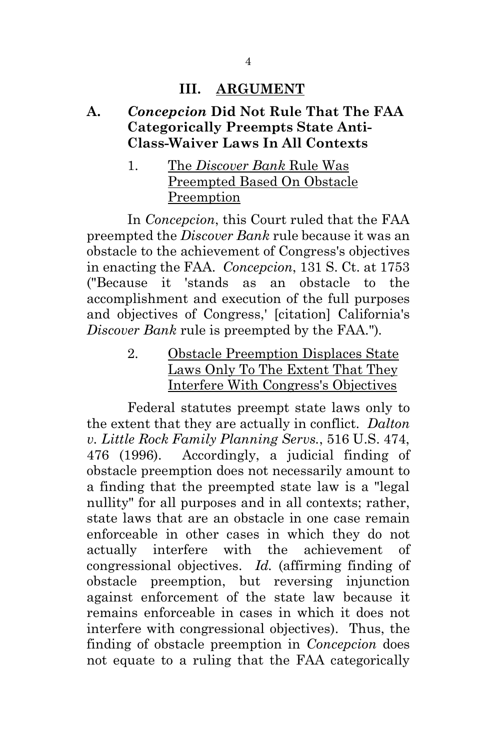#### **III. ARGUMENT**

#### **A.** *Concepcion* **Did Not Rule That The FAA Categorically Preempts State Anti-Class-Waiver Laws In All Contexts**

#### 1. The *Discover Bank* Rule Was Preempted Based On Obstacle Preemption

In *Concepcion*, this Court ruled that the FAA preempted the *Discover Bank* rule because it was an obstacle to the achievement of Congress's objectives in enacting the FAA. *Concepcion*, 131 S. Ct. at 1753 ("Because it 'stands as an obstacle to the accomplishment and execution of the full purposes and objectives of Congress,' [citation] California's *Discover Bank* rule is preempted by the FAA.")*.*

> 2. Obstacle Preemption Displaces State Laws Only To The Extent That They Interfere With Congress's Objectives

Federal statutes preempt state laws only to the extent that they are actually in conflict. *Dalton v. Little Rock Family Planning Servs.*, 516 U.S. 474, 476 (1996). Accordingly, a judicial finding of obstacle preemption does not necessarily amount to a finding that the preempted state law is a "legal nullity" for all purposes and in all contexts; rather, state laws that are an obstacle in one case remain enforceable in other cases in which they do not actually interfere with the achievement of congressional objectives. *Id.* (affirming finding of obstacle preemption, but reversing injunction against enforcement of the state law because it remains enforceable in cases in which it does not interfere with congressional objectives). Thus, the finding of obstacle preemption in *Concepcion* does not equate to a ruling that the FAA categorically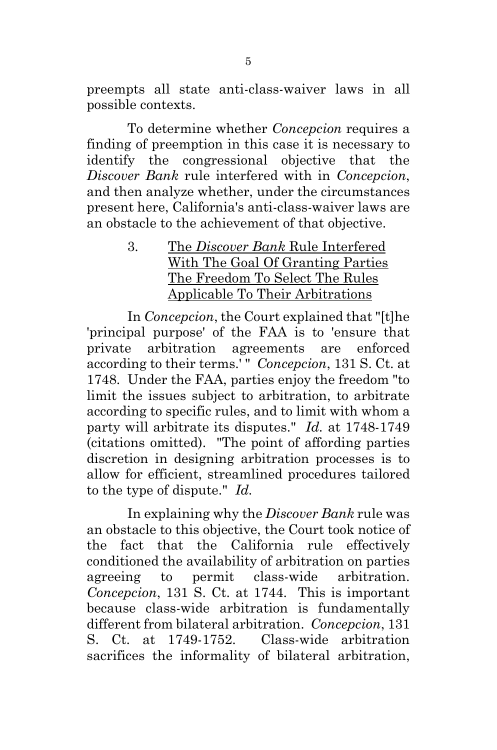preempts all state anti-class-waiver laws in all possible contexts.

To determine whether *Concepcion* requires a finding of preemption in this case it is necessary to identify the congressional objective that the *Discover Bank* rule interfered with in *Concepcion*, and then analyze whether, under the circumstances present here, California's anti-class-waiver laws are an obstacle to the achievement of that objective.

> 3. The *Discover Bank* Rule Interfered With The Goal Of Granting Parties The Freedom To Select The Rules Applicable To Their Arbitrations

In *Concepcion*, the Court explained that "[t]he 'principal purpose' of the FAA is to 'ensure that private arbitration agreements are enforced according to their terms.' " *Concepcion*, 131 S. Ct. at 1748. Under the FAA, parties enjoy the freedom "to limit the issues subject to arbitration, to arbitrate according to specific rules, and to limit with whom a party will arbitrate its disputes." *Id.* at 1748-1749 (citations omitted). "The point of affording parties discretion in designing arbitration processes is to allow for efficient, streamlined procedures tailored to the type of dispute." *Id.*

In explaining why the *Discover Bank* rule was an obstacle to this objective, the Court took notice of the fact that the California rule effectively conditioned the availability of arbitration on parties agreeing to permit class-wide arbitration. *Concepcion*, 131 S. Ct. at 1744. This is important because class-wide arbitration is fundamentally different from bilateral arbitration. *Concepcion*, 131 S. Ct. at 1749-1752. Class-wide arbitration sacrifices the informality of bilateral arbitration,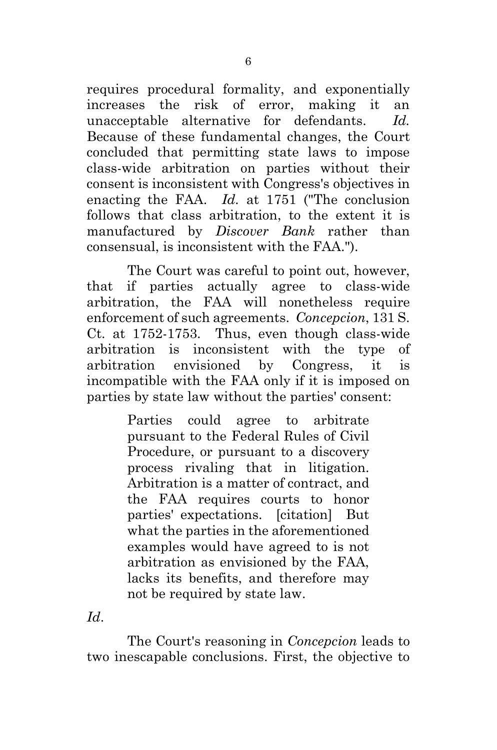requires procedural formality, and exponentially increases the risk of error, making it an unacceptable alternative for defendants. *Id.* Because of these fundamental changes, the Court concluded that permitting state laws to impose class-wide arbitration on parties without their consent is inconsistent with Congress's objectives in enacting the FAA. *Id.* at 1751 ("The conclusion follows that class arbitration, to the extent it is manufactured by *Discover Bank* rather than consensual, is inconsistent with the FAA.").

The Court was careful to point out, however, that if parties actually agree to class-wide arbitration, the FAA will nonetheless require enforcement of such agreements. *Concepcion*, 131 S. Ct. at 1752-1753. Thus, even though class-wide arbitration is inconsistent with the type of arbitration envisioned by Congress, it is incompatible with the FAA only if it is imposed on parties by state law without the parties' consent:

> Parties could agree to arbitrate pursuant to the Federal Rules of Civil Procedure, or pursuant to a discovery process rivaling that in litigation. Arbitration is a matter of contract, and the FAA requires courts to honor parties' expectations. [citation] But what the parties in the aforementioned examples would have agreed to is not arbitration as envisioned by the FAA, lacks its benefits, and therefore may not be required by state law.

*Id*.

The Court's reasoning in *Concepcion* leads to two inescapable conclusions. First, the objective to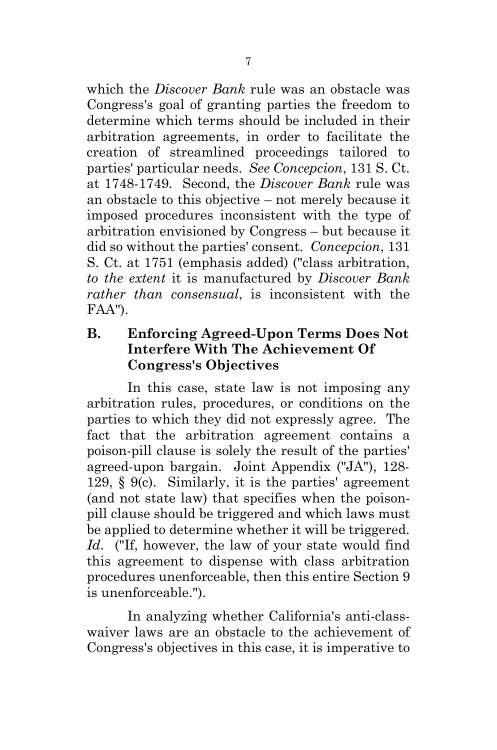which the *Discover Bank* rule was an obstacle was Congress's goal of granting parties the freedom to determine which terms should be included in their arbitration agreements, in order to facilitate the creation of streamlined proceedings tailored to parties' particular needs. *See Concepcion*, 131 S. Ct. at 1748-1749. Second, the *Discover Bank* rule was an obstacle to this objective – not merely because it imposed procedures inconsistent with the type of arbitration envisioned by Congress – but because it did so without the parties' consent. *Concepcion*, 131 S. Ct. at 1751 (emphasis added) ("class arbitration, *to the extent* it is manufactured by *Discover Bank rather than consensual*, is inconsistent with the FAA").

## **B. Enforcing Agreed-Upon Terms Does Not Interfere With The Achievement Of Congress's Objectives**

In this case, state law is not imposing any arbitration rules, procedures, or conditions on the parties to which they did not expressly agree. The fact that the arbitration agreement contains a poison-pill clause is solely the result of the parties' agreed-upon bargain. Joint Appendix ("JA"), 128- 129, § 9(c). Similarly, it is the parties' agreement (and not state law) that specifies when the poisonpill clause should be triggered and which laws must be applied to determine whether it will be triggered. *Id.* ("If, however, the law of your state would find this agreement to dispense with class arbitration procedures unenforceable, then this entire Section 9 is unenforceable.").

In analyzing whether California's anti-classwaiver laws are an obstacle to the achievement of Congress's objectives in this case, it is imperative to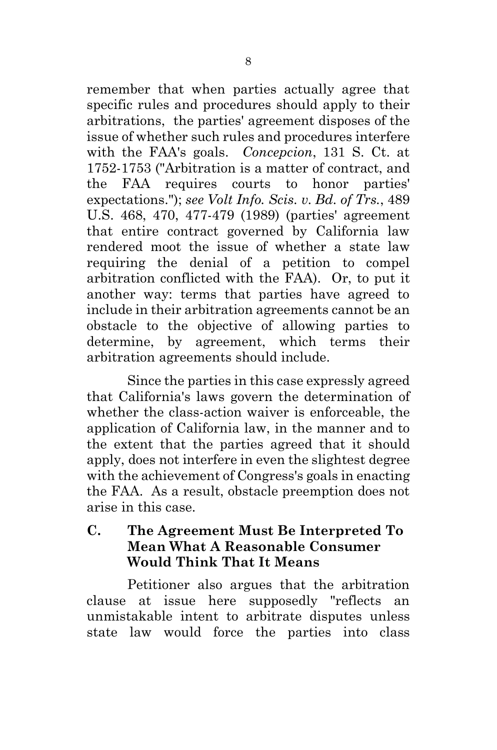remember that when parties actually agree that specific rules and procedures should apply to their arbitrations, the parties' agreement disposes of the issue of whether such rules and procedures interfere with the FAA's goals. *Concepcion*, 131 S. Ct. at 1752-1753 ("Arbitration is a matter of contract, and the FAA requires courts to honor parties' expectations."); *see Volt Info. Scis. v. Bd. of Trs.*, 489 U.S. 468, 470, 477-479 (1989) (parties' agreement that entire contract governed by California law rendered moot the issue of whether a state law requiring the denial of a petition to compel arbitration conflicted with the FAA). Or, to put it another way: terms that parties have agreed to include in their arbitration agreements cannot be an obstacle to the objective of allowing parties to determine, by agreement, which terms their arbitration agreements should include.

Since the parties in this case expressly agreed that California's laws govern the determination of whether the class-action waiver is enforceable, the application of California law, in the manner and to the extent that the parties agreed that it should apply, does not interfere in even the slightest degree with the achievement of Congress's goals in enacting the FAA. As a result, obstacle preemption does not arise in this case.

#### **C. The Agreement Must Be Interpreted To Mean What A Reasonable Consumer Would Think That It Means**

Petitioner also argues that the arbitration clause at issue here supposedly "reflects an unmistakable intent to arbitrate disputes unless state law would force the parties into class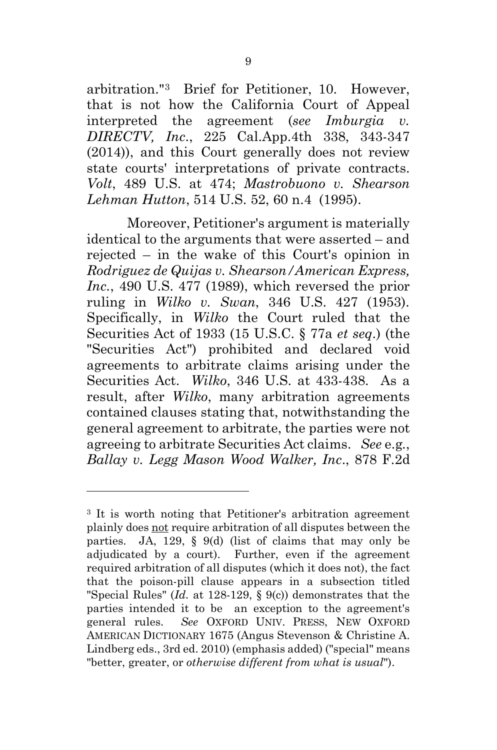arbitration."3 Brief for Petitioner, 10. However, that is not how the California Court of Appeal interpreted the agreement (*see Imburgia v. DIRECTV, Inc*., 225 Cal.App.4th 338, 343-347 (2014)), and this Court generally does not review state courts' interpretations of private contracts. *Volt*, 489 U.S. at 474; *Mastrobuono v. Shearson Lehman Hutton*, 514 U.S. 52, 60 n.4 (1995).

Moreover, Petitioner's argument is materially identical to the arguments that were asserted – and rejected – in the wake of this Court's opinion in *Rodriguez de Quijas v. Shearson/American Express, Inc.*, 490 U.S. 477 (1989), which reversed the prior ruling in *Wilko v. Swan*, 346 U.S. 427 (1953). Specifically, in *Wilko* the Court ruled that the Securities Act of 1933 (15 U.S.C. § 77a *et seq*.) (the "Securities Act") prohibited and declared void agreements to arbitrate claims arising under the Securities Act. *Wilko*, 346 U.S. at 433-438. As a result, after *Wilko*, many arbitration agreements contained clauses stating that, notwithstanding the general agreement to arbitrate, the parties were not agreeing to arbitrate Securities Act claims. *See* e.g*.*, *Ballay v. Legg Mason Wood Walker, Inc*., 878 F.2d

<sup>3</sup> It is worth noting that Petitioner's arbitration agreement plainly does not require arbitration of all disputes between the parties. JA, 129, § 9(d) (list of claims that may only be adjudicated by a court). Further, even if the agreement required arbitration of all disputes (which it does not), the fact that the poison-pill clause appears in a subsection titled "Special Rules" (*Id.* at 128-129, § 9(c)) demonstrates that the parties intended it to be an exception to the agreement's general rules. *See* OXFORD UNIV. PRESS, NEW OXFORD AMERICAN DICTIONARY 1675 (Angus Stevenson & Christine A. Lindberg eds., 3rd ed. 2010) (emphasis added) ("special" means "better, greater, or *otherwise different from what is usual*").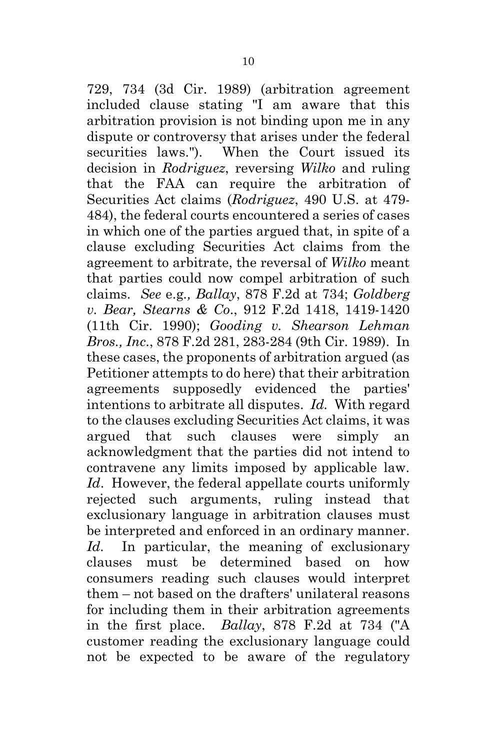729, 734 (3d Cir. 1989) (arbitration agreement included clause stating "I am aware that this arbitration provision is not binding upon me in any dispute or controversy that arises under the federal securities laws."). When the Court issued its decision in *Rodriguez*, reversing *Wilko* and ruling that the FAA can require the arbitration of Securities Act claims (*Rodriguez*, 490 U.S. at 479- 484), the federal courts encountered a series of cases in which one of the parties argued that, in spite of a clause excluding Securities Act claims from the agreement to arbitrate, the reversal of *Wilko* meant that parties could now compel arbitration of such claims. *See* e.g*., Ballay*, 878 F.2d at 734; *Goldberg v. Bear, Stearns & Co*., 912 F.2d 1418, 1419-1420 (11th Cir. 1990); *Gooding v. Shearson Lehman Bros., Inc*., 878 F.2d 281, 283-284 (9th Cir. 1989). In these cases, the proponents of arbitration argued (as Petitioner attempts to do here) that their arbitration agreements supposedly evidenced the parties' intentions to arbitrate all disputes. *Id.* With regard to the clauses excluding Securities Act claims, it was argued that such clauses were simply an acknowledgment that the parties did not intend to contravene any limits imposed by applicable law. *Id*. However, the federal appellate courts uniformly rejected such arguments, ruling instead that exclusionary language in arbitration clauses must be interpreted and enforced in an ordinary manner. Id. In particular, the meaning of exclusionary clauses must be determined based on how consumers reading such clauses would interpret them – not based on the drafters' unilateral reasons for including them in their arbitration agreements in the first place. *Ballay*, 878 F.2d at 734 ("A customer reading the exclusionary language could not be expected to be aware of the regulatory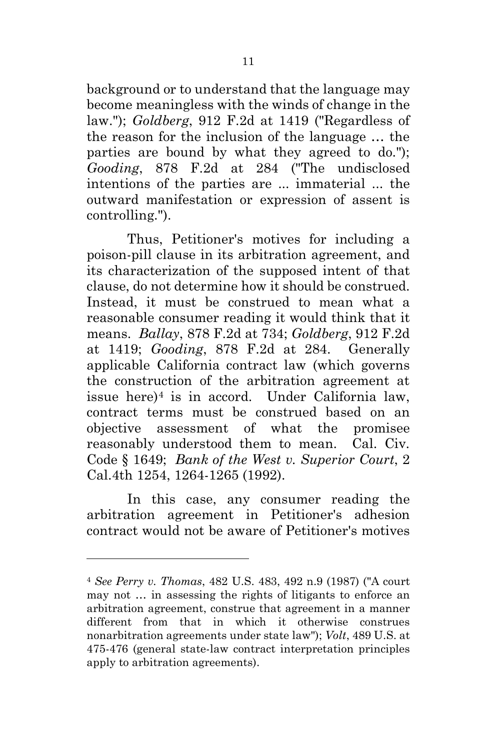background or to understand that the language may become meaningless with the winds of change in the law."); *Goldberg*, 912 F.2d at 1419 ("Regardless of the reason for the inclusion of the language … the parties are bound by what they agreed to do."); *Gooding*, 878 F.2d at 284 ("The undisclosed intentions of the parties are ... immaterial ... the outward manifestation or expression of assent is controlling.").

Thus, Petitioner's motives for including a poison-pill clause in its arbitration agreement, and its characterization of the supposed intent of that clause, do not determine how it should be construed. Instead, it must be construed to mean what a reasonable consumer reading it would think that it means. *Ballay*, 878 F.2d at 734; *Goldberg*, 912 F.2d at 1419; *Gooding*, 878 F.2d at 284. Generally applicable California contract law (which governs the construction of the arbitration agreement at issue here)4 is in accord. Under California law, contract terms must be construed based on an objective assessment of what the promisee reasonably understood them to mean. Cal. Civ. Code § 1649; *Bank of the West v. Superior Court*, 2 Cal.4th 1254, 1264-1265 (1992).

In this case, any consumer reading the arbitration agreement in Petitioner's adhesion contract would not be aware of Petitioner's motives

<sup>4</sup> *See Perry v. Thomas*, 482 U.S. 483, 492 n.9 (1987) ("A court may not … in assessing the rights of litigants to enforce an arbitration agreement, construe that agreement in a manner different from that in which it otherwise construes nonarbitration agreements under state law"); *Volt*, 489 U.S. at 475-476 (general state-law contract interpretation principles apply to arbitration agreements).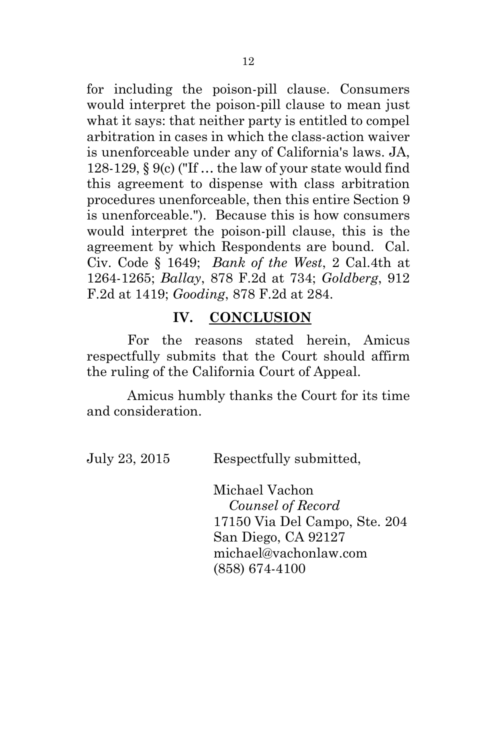for including the poison-pill clause. Consumers would interpret the poison-pill clause to mean just what it says: that neither party is entitled to compel arbitration in cases in which the class-action waiver is unenforceable under any of California's laws. JA, 128-129, § 9(c) ("If … the law of your state would find this agreement to dispense with class arbitration procedures unenforceable, then this entire Section 9 is unenforceable."). Because this is how consumers would interpret the poison-pill clause, this is the agreement by which Respondents are bound. Cal. Civ. Code § 1649; *Bank of the West*, 2 Cal.4th at 1264-1265; *Ballay*, 878 F.2d at 734; *Goldberg*, 912 F.2d at 1419; *Gooding*, 878 F.2d at 284.

#### **IV. CONCLUSION**

For the reasons stated herein, Amicus respectfully submits that the Court should affirm the ruling of the California Court of Appeal.

Amicus humbly thanks the Court for its time and consideration.

July 23, 2015 Respectfully submitted,

Michael Vachon *Counsel of Record* 17150 Via Del Campo, Ste. 204 San Diego, CA 92127 michael@vachonlaw.com (858) 674-4100